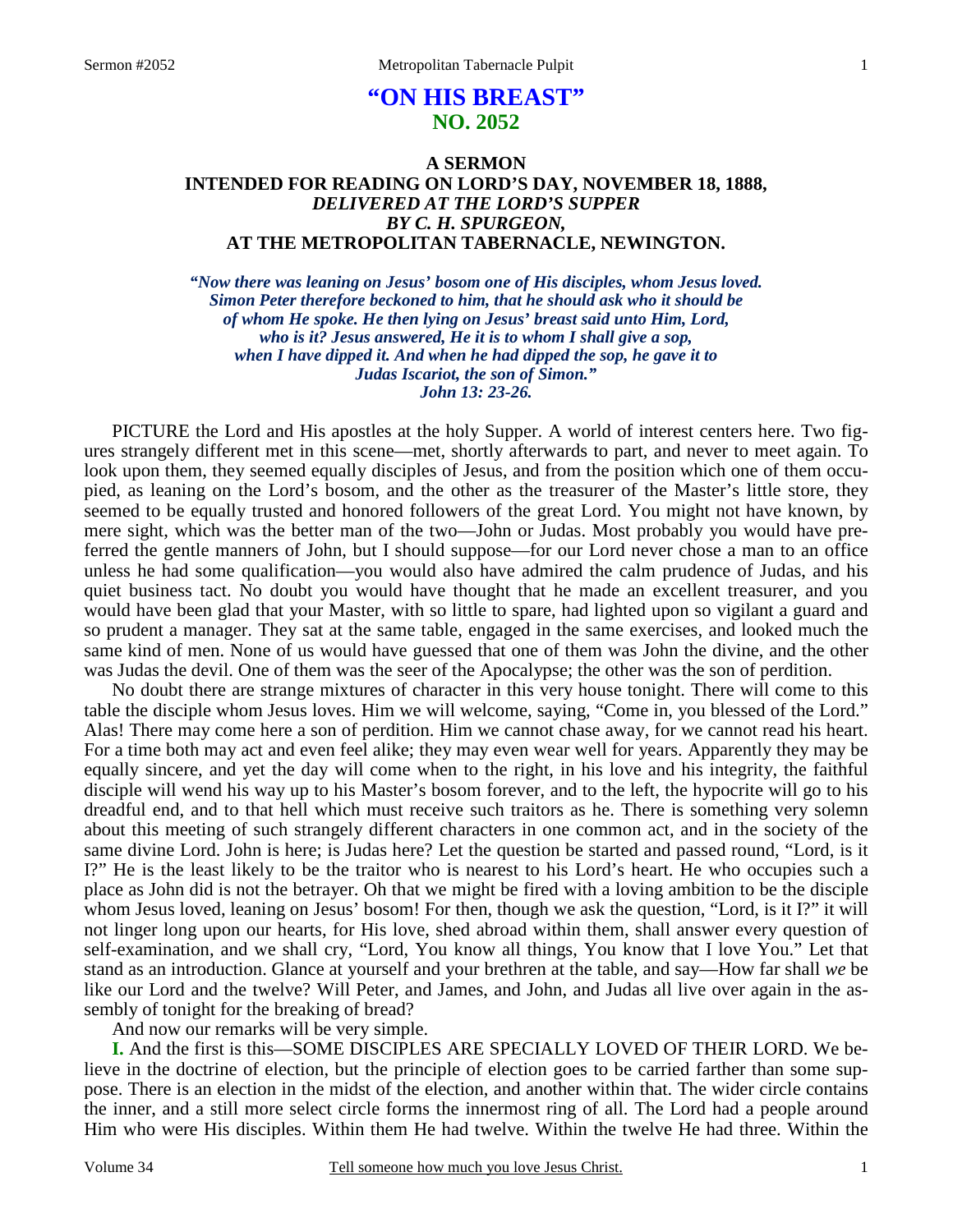# **"ON HIS BREAST" NO. 2052**

### **A SERMON INTENDED FOR READING ON LORD'S DAY, NOVEMBER 18, 1888,**  *DELIVERED AT THE LORD'S SUPPER BY C. H. SPURGEON,*  **AT THE METROPOLITAN TABERNACLE, NEWINGTON.**

*"Now there was leaning on Jesus' bosom one of His disciples, whom Jesus loved. Simon Peter therefore beckoned to him, that he should ask who it should be of whom He spoke. He then lying on Jesus' breast said unto Him, Lord, who is it? Jesus answered, He it is to whom I shall give a sop, when I have dipped it. And when he had dipped the sop, he gave it to Judas Iscariot, the son of Simon." John 13: 23-26.* 

PICTURE the Lord and His apostles at the holy Supper. A world of interest centers here. Two figures strangely different met in this scene—met, shortly afterwards to part, and never to meet again. To look upon them, they seemed equally disciples of Jesus, and from the position which one of them occupied, as leaning on the Lord's bosom, and the other as the treasurer of the Master's little store, they seemed to be equally trusted and honored followers of the great Lord. You might not have known, by mere sight, which was the better man of the two—John or Judas. Most probably you would have preferred the gentle manners of John, but I should suppose—for our Lord never chose a man to an office unless he had some qualification—you would also have admired the calm prudence of Judas, and his quiet business tact. No doubt you would have thought that he made an excellent treasurer, and you would have been glad that your Master, with so little to spare, had lighted upon so vigilant a guard and so prudent a manager. They sat at the same table, engaged in the same exercises, and looked much the same kind of men. None of us would have guessed that one of them was John the divine, and the other was Judas the devil. One of them was the seer of the Apocalypse; the other was the son of perdition.

No doubt there are strange mixtures of character in this very house tonight. There will come to this table the disciple whom Jesus loves. Him we will welcome, saying, "Come in, you blessed of the Lord." Alas! There may come here a son of perdition. Him we cannot chase away, for we cannot read his heart. For a time both may act and even feel alike; they may even wear well for years. Apparently they may be equally sincere, and yet the day will come when to the right, in his love and his integrity, the faithful disciple will wend his way up to his Master's bosom forever, and to the left, the hypocrite will go to his dreadful end, and to that hell which must receive such traitors as he. There is something very solemn about this meeting of such strangely different characters in one common act, and in the society of the same divine Lord. John is here; is Judas here? Let the question be started and passed round, "Lord, is it I?" He is the least likely to be the traitor who is nearest to his Lord's heart. He who occupies such a place as John did is not the betrayer. Oh that we might be fired with a loving ambition to be the disciple whom Jesus loved, leaning on Jesus' bosom! For then, though we ask the question, "Lord, is it I?" it will not linger long upon our hearts, for His love, shed abroad within them, shall answer every question of self-examination, and we shall cry, "Lord, You know all things, You know that I love You." Let that stand as an introduction. Glance at yourself and your brethren at the table, and say—How far shall *we* be like our Lord and the twelve? Will Peter, and James, and John, and Judas all live over again in the assembly of tonight for the breaking of bread?

And now our remarks will be very simple.

**I.** And the first is this—SOME DISCIPLES ARE SPECIALLY LOVED OF THEIR LORD. We believe in the doctrine of election, but the principle of election goes to be carried farther than some suppose. There is an election in the midst of the election, and another within that. The wider circle contains the inner, and a still more select circle forms the innermost ring of all. The Lord had a people around Him who were His disciples. Within them He had twelve. Within the twelve He had three. Within the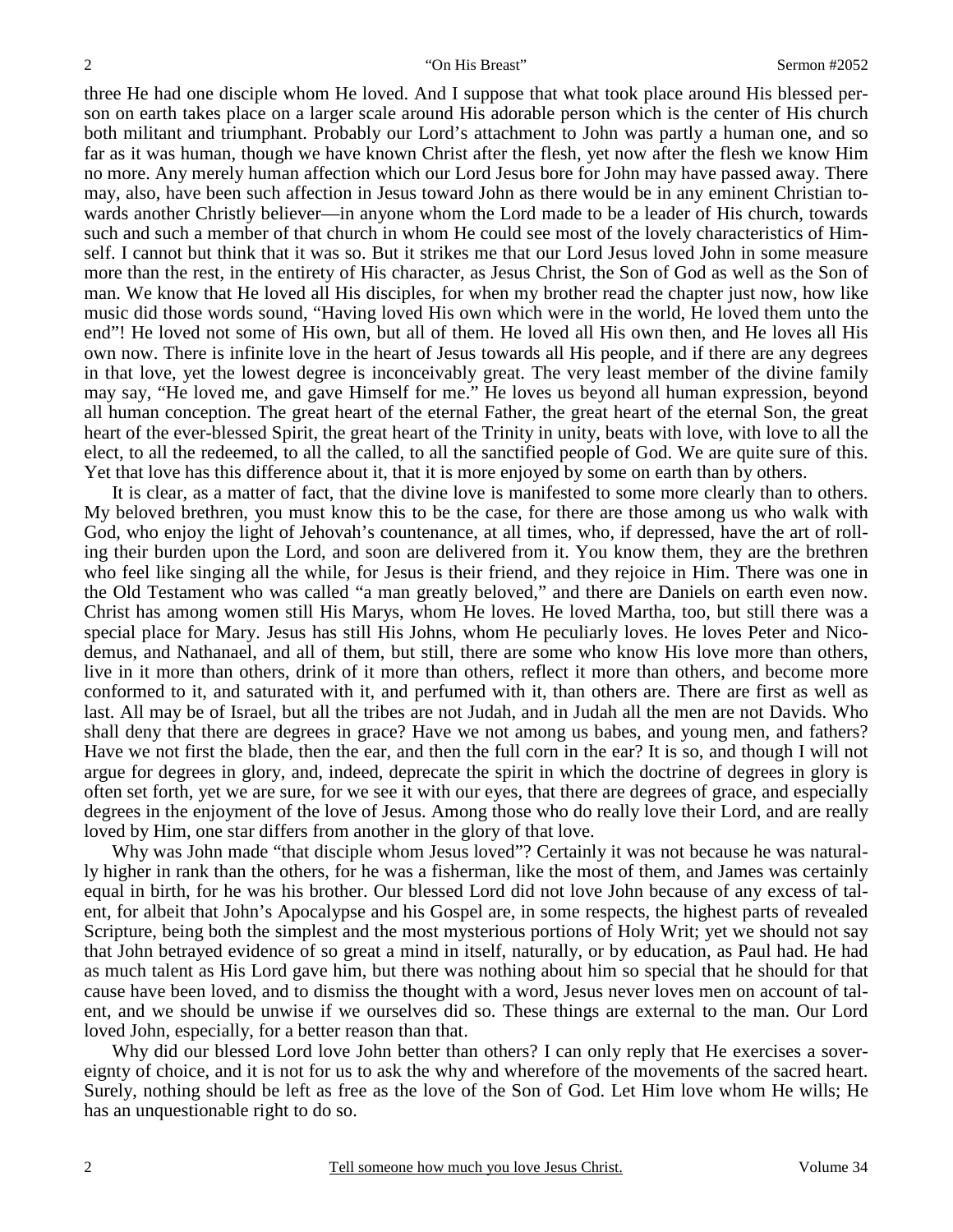three He had one disciple whom He loved. And I suppose that what took place around His blessed person on earth takes place on a larger scale around His adorable person which is the center of His church both militant and triumphant. Probably our Lord's attachment to John was partly a human one, and so far as it was human, though we have known Christ after the flesh, yet now after the flesh we know Him no more. Any merely human affection which our Lord Jesus bore for John may have passed away. There may, also, have been such affection in Jesus toward John as there would be in any eminent Christian towards another Christly believer—in anyone whom the Lord made to be a leader of His church, towards such and such a member of that church in whom He could see most of the lovely characteristics of Himself. I cannot but think that it was so. But it strikes me that our Lord Jesus loved John in some measure more than the rest, in the entirety of His character, as Jesus Christ, the Son of God as well as the Son of man. We know that He loved all His disciples, for when my brother read the chapter just now, how like music did those words sound, "Having loved His own which were in the world, He loved them unto the end"! He loved not some of His own, but all of them. He loved all His own then, and He loves all His own now. There is infinite love in the heart of Jesus towards all His people, and if there are any degrees in that love, yet the lowest degree is inconceivably great. The very least member of the divine family may say, "He loved me, and gave Himself for me." He loves us beyond all human expression, beyond all human conception. The great heart of the eternal Father, the great heart of the eternal Son, the great heart of the ever-blessed Spirit, the great heart of the Trinity in unity, beats with love, with love to all the elect, to all the redeemed, to all the called, to all the sanctified people of God. We are quite sure of this. Yet that love has this difference about it, that it is more enjoyed by some on earth than by others.

It is clear, as a matter of fact, that the divine love is manifested to some more clearly than to others. My beloved brethren, you must know this to be the case, for there are those among us who walk with God, who enjoy the light of Jehovah's countenance, at all times, who, if depressed, have the art of rolling their burden upon the Lord, and soon are delivered from it. You know them, they are the brethren who feel like singing all the while, for Jesus is their friend, and they rejoice in Him. There was one in the Old Testament who was called "a man greatly beloved," and there are Daniels on earth even now. Christ has among women still His Marys, whom He loves. He loved Martha, too, but still there was a special place for Mary. Jesus has still His Johns, whom He peculiarly loves. He loves Peter and Nicodemus, and Nathanael, and all of them, but still, there are some who know His love more than others, live in it more than others, drink of it more than others, reflect it more than others, and become more conformed to it, and saturated with it, and perfumed with it, than others are. There are first as well as last. All may be of Israel, but all the tribes are not Judah, and in Judah all the men are not Davids. Who shall deny that there are degrees in grace? Have we not among us babes, and young men, and fathers? Have we not first the blade, then the ear, and then the full corn in the ear? It is so, and though I will not argue for degrees in glory, and, indeed, deprecate the spirit in which the doctrine of degrees in glory is often set forth, yet we are sure, for we see it with our eyes, that there are degrees of grace, and especially degrees in the enjoyment of the love of Jesus. Among those who do really love their Lord, and are really loved by Him, one star differs from another in the glory of that love.

Why was John made "that disciple whom Jesus loved"? Certainly it was not because he was naturally higher in rank than the others, for he was a fisherman, like the most of them, and James was certainly equal in birth, for he was his brother. Our blessed Lord did not love John because of any excess of talent, for albeit that John's Apocalypse and his Gospel are, in some respects, the highest parts of revealed Scripture, being both the simplest and the most mysterious portions of Holy Writ; yet we should not say that John betrayed evidence of so great a mind in itself, naturally, or by education, as Paul had. He had as much talent as His Lord gave him, but there was nothing about him so special that he should for that cause have been loved, and to dismiss the thought with a word, Jesus never loves men on account of talent, and we should be unwise if we ourselves did so. These things are external to the man. Our Lord loved John, especially, for a better reason than that.

Why did our blessed Lord love John better than others? I can only reply that He exercises a sovereignty of choice, and it is not for us to ask the why and wherefore of the movements of the sacred heart. Surely, nothing should be left as free as the love of the Son of God. Let Him love whom He wills; He has an unquestionable right to do so.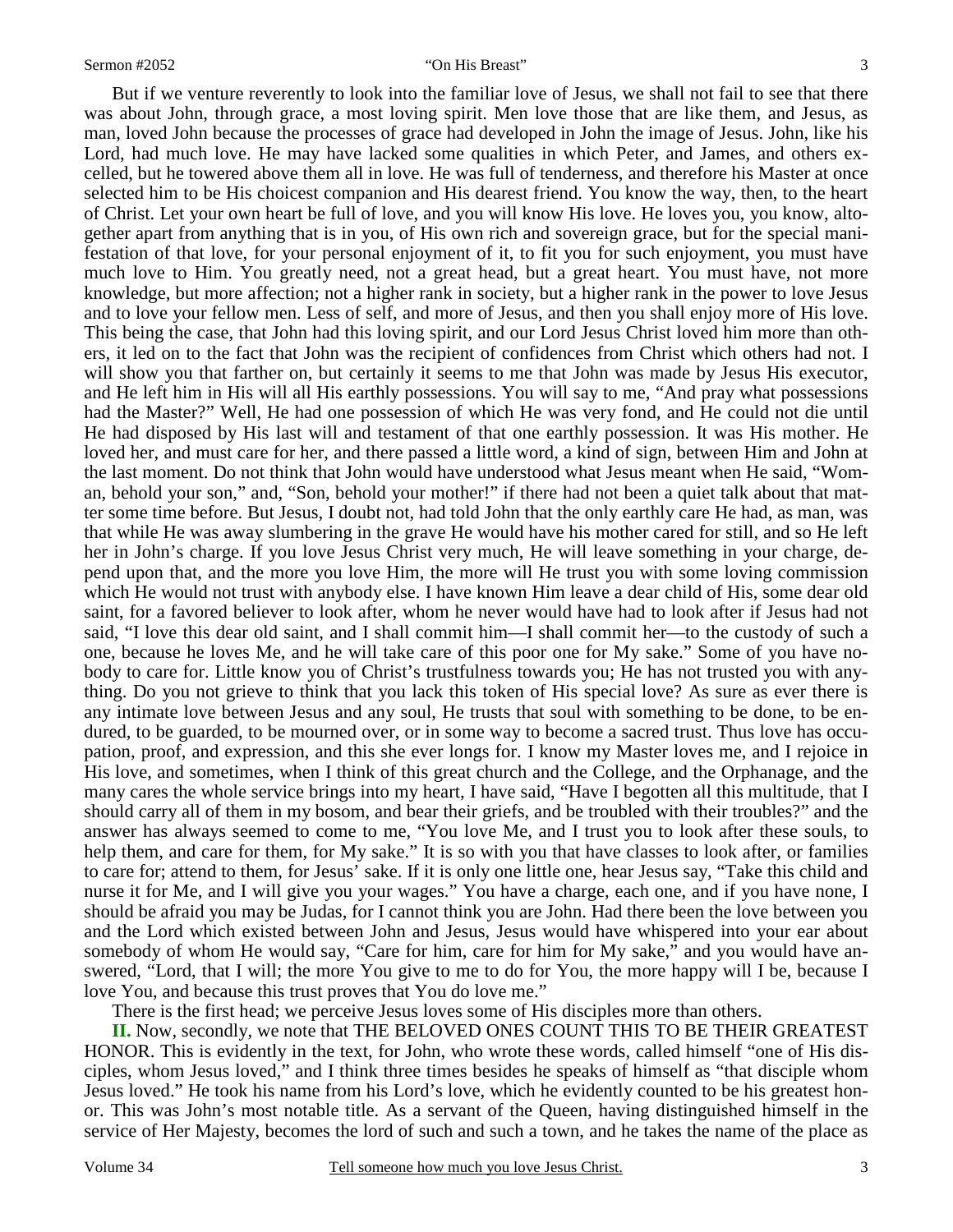But if we venture reverently to look into the familiar love of Jesus, we shall not fail to see that there was about John, through grace, a most loving spirit. Men love those that are like them, and Jesus, as man, loved John because the processes of grace had developed in John the image of Jesus. John, like his Lord, had much love. He may have lacked some qualities in which Peter, and James, and others excelled, but he towered above them all in love. He was full of tenderness, and therefore his Master at once selected him to be His choicest companion and His dearest friend. You know the way, then, to the heart of Christ. Let your own heart be full of love, and you will know His love. He loves you, you know, altogether apart from anything that is in you, of His own rich and sovereign grace, but for the special manifestation of that love, for your personal enjoyment of it, to fit you for such enjoyment, you must have much love to Him. You greatly need, not a great head, but a great heart. You must have, not more knowledge, but more affection; not a higher rank in society, but a higher rank in the power to love Jesus and to love your fellow men. Less of self, and more of Jesus, and then you shall enjoy more of His love. This being the case, that John had this loving spirit, and our Lord Jesus Christ loved him more than others, it led on to the fact that John was the recipient of confidences from Christ which others had not. I will show you that farther on, but certainly it seems to me that John was made by Jesus His executor, and He left him in His will all His earthly possessions. You will say to me, "And pray what possessions had the Master?" Well, He had one possession of which He was very fond, and He could not die until He had disposed by His last will and testament of that one earthly possession. It was His mother. He loved her, and must care for her, and there passed a little word, a kind of sign, between Him and John at the last moment. Do not think that John would have understood what Jesus meant when He said, "Woman, behold your son," and, "Son, behold your mother!" if there had not been a quiet talk about that matter some time before. But Jesus, I doubt not, had told John that the only earthly care He had, as man, was that while He was away slumbering in the grave He would have his mother cared for still, and so He left her in John's charge. If you love Jesus Christ very much, He will leave something in your charge, depend upon that, and the more you love Him, the more will He trust you with some loving commission which He would not trust with anybody else. I have known Him leave a dear child of His, some dear old saint, for a favored believer to look after, whom he never would have had to look after if Jesus had not said, "I love this dear old saint, and I shall commit him—I shall commit her—to the custody of such a one, because he loves Me, and he will take care of this poor one for My sake." Some of you have nobody to care for. Little know you of Christ's trustfulness towards you; He has not trusted you with anything. Do you not grieve to think that you lack this token of His special love? As sure as ever there is any intimate love between Jesus and any soul, He trusts that soul with something to be done, to be endured, to be guarded, to be mourned over, or in some way to become a sacred trust. Thus love has occupation, proof, and expression, and this she ever longs for. I know my Master loves me, and I rejoice in His love, and sometimes, when I think of this great church and the College, and the Orphanage, and the many cares the whole service brings into my heart, I have said, "Have I begotten all this multitude, that I should carry all of them in my bosom, and bear their griefs, and be troubled with their troubles?" and the answer has always seemed to come to me, "You love Me, and I trust you to look after these souls, to help them, and care for them, for My sake." It is so with you that have classes to look after, or families to care for; attend to them, for Jesus' sake. If it is only one little one, hear Jesus say, "Take this child and nurse it for Me, and I will give you your wages." You have a charge, each one, and if you have none, I should be afraid you may be Judas, for I cannot think you are John. Had there been the love between you and the Lord which existed between John and Jesus, Jesus would have whispered into your ear about somebody of whom He would say, "Care for him, care for him for My sake," and you would have answered, "Lord, that I will; the more You give to me to do for You, the more happy will I be, because I love You, and because this trust proves that You do love me."

There is the first head; we perceive Jesus loves some of His disciples more than others.

**II.** Now, secondly, we note that THE BELOVED ONES COUNT THIS TO BE THEIR GREATEST HONOR. This is evidently in the text, for John, who wrote these words, called himself "one of His disciples, whom Jesus loved," and I think three times besides he speaks of himself as "that disciple whom Jesus loved." He took his name from his Lord's love, which he evidently counted to be his greatest honor. This was John's most notable title. As a servant of the Queen, having distinguished himself in the service of Her Majesty, becomes the lord of such and such a town, and he takes the name of the place as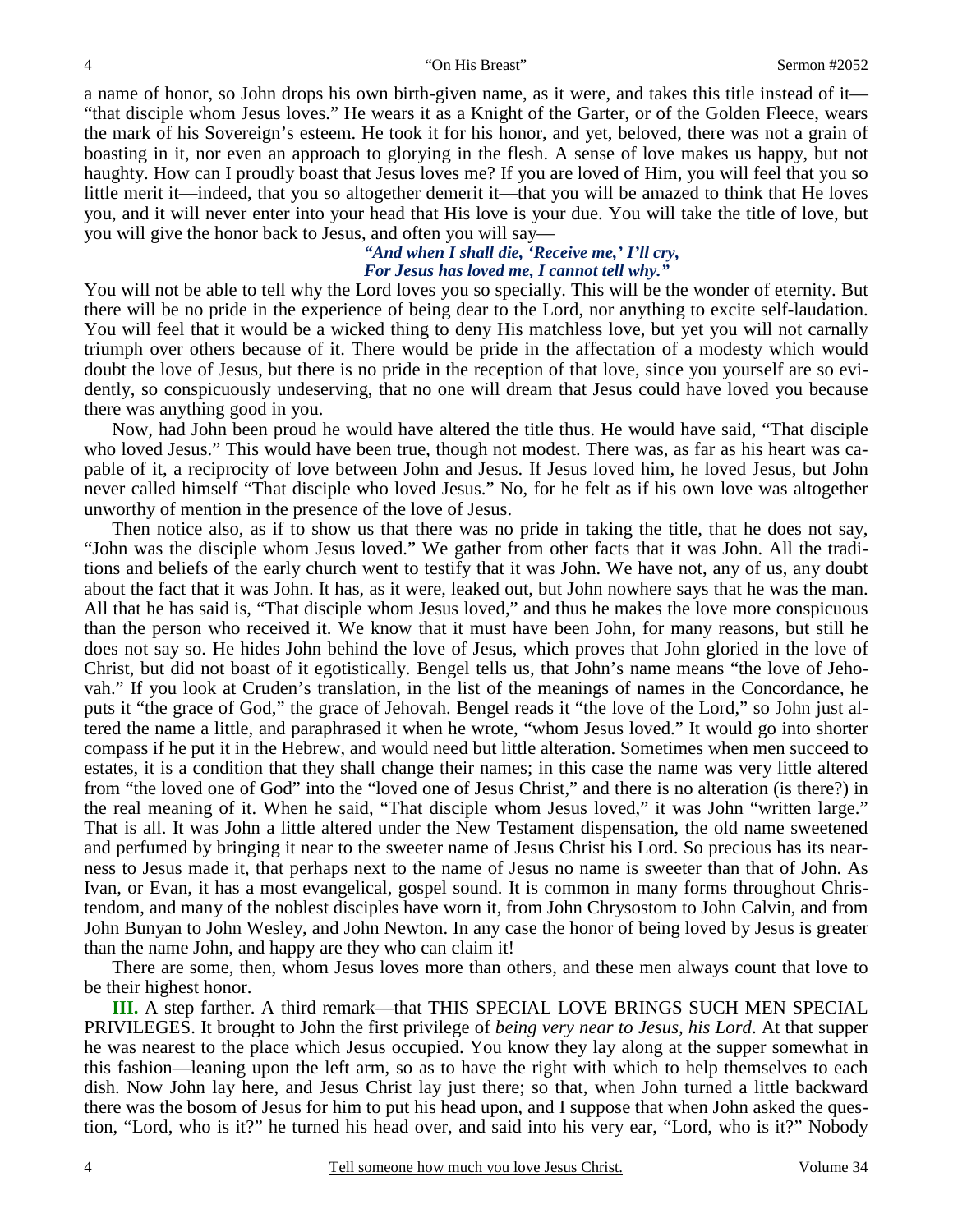a name of honor, so John drops his own birth-given name, as it were, and takes this title instead of it— "that disciple whom Jesus loves." He wears it as a Knight of the Garter, or of the Golden Fleece, wears the mark of his Sovereign's esteem. He took it for his honor, and yet, beloved, there was not a grain of boasting in it, nor even an approach to glorying in the flesh. A sense of love makes us happy, but not haughty. How can I proudly boast that Jesus loves me? If you are loved of Him, you will feel that you so little merit it—indeed, that you so altogether demerit it—that you will be amazed to think that He loves you, and it will never enter into your head that His love is your due. You will take the title of love, but you will give the honor back to Jesus, and often you will say—

### *"And when I shall die, 'Receive me,' I'll cry, For Jesus has loved me, I cannot tell why."*

You will not be able to tell why the Lord loves you so specially. This will be the wonder of eternity. But there will be no pride in the experience of being dear to the Lord, nor anything to excite self-laudation. You will feel that it would be a wicked thing to deny His matchless love, but yet you will not carnally triumph over others because of it. There would be pride in the affectation of a modesty which would doubt the love of Jesus, but there is no pride in the reception of that love, since you yourself are so evidently, so conspicuously undeserving, that no one will dream that Jesus could have loved you because there was anything good in you.

Now, had John been proud he would have altered the title thus. He would have said, "That disciple who loved Jesus." This would have been true, though not modest. There was, as far as his heart was capable of it, a reciprocity of love between John and Jesus. If Jesus loved him, he loved Jesus, but John never called himself "That disciple who loved Jesus." No, for he felt as if his own love was altogether unworthy of mention in the presence of the love of Jesus.

Then notice also, as if to show us that there was no pride in taking the title, that he does not say, "John was the disciple whom Jesus loved." We gather from other facts that it was John. All the traditions and beliefs of the early church went to testify that it was John. We have not, any of us, any doubt about the fact that it was John. It has, as it were, leaked out, but John nowhere says that he was the man. All that he has said is, "That disciple whom Jesus loved," and thus he makes the love more conspicuous than the person who received it. We know that it must have been John, for many reasons, but still he does not say so. He hides John behind the love of Jesus, which proves that John gloried in the love of Christ, but did not boast of it egotistically. Bengel tells us, that John's name means "the love of Jehovah." If you look at Cruden's translation, in the list of the meanings of names in the Concordance, he puts it "the grace of God," the grace of Jehovah. Bengel reads it "the love of the Lord," so John just altered the name a little, and paraphrased it when he wrote, "whom Jesus loved." It would go into shorter compass if he put it in the Hebrew, and would need but little alteration. Sometimes when men succeed to estates, it is a condition that they shall change their names; in this case the name was very little altered from "the loved one of God" into the "loved one of Jesus Christ," and there is no alteration (is there?) in the real meaning of it. When he said, "That disciple whom Jesus loved," it was John "written large." That is all. It was John a little altered under the New Testament dispensation, the old name sweetened and perfumed by bringing it near to the sweeter name of Jesus Christ his Lord. So precious has its nearness to Jesus made it, that perhaps next to the name of Jesus no name is sweeter than that of John. As Ivan, or Evan, it has a most evangelical, gospel sound. It is common in many forms throughout Christendom, and many of the noblest disciples have worn it, from John Chrysostom to John Calvin, and from John Bunyan to John Wesley, and John Newton. In any case the honor of being loved by Jesus is greater than the name John, and happy are they who can claim it!

There are some, then, whom Jesus loves more than others, and these men always count that love to be their highest honor.

**III.** A step farther. A third remark—that THIS SPECIAL LOVE BRINGS SUCH MEN SPECIAL PRIVILEGES. It brought to John the first privilege of *being very near to Jesus, his Lord*. At that supper he was nearest to the place which Jesus occupied. You know they lay along at the supper somewhat in this fashion—leaning upon the left arm, so as to have the right with which to help themselves to each dish. Now John lay here, and Jesus Christ lay just there; so that, when John turned a little backward there was the bosom of Jesus for him to put his head upon, and I suppose that when John asked the question, "Lord, who is it?" he turned his head over, and said into his very ear, "Lord, who is it?" Nobody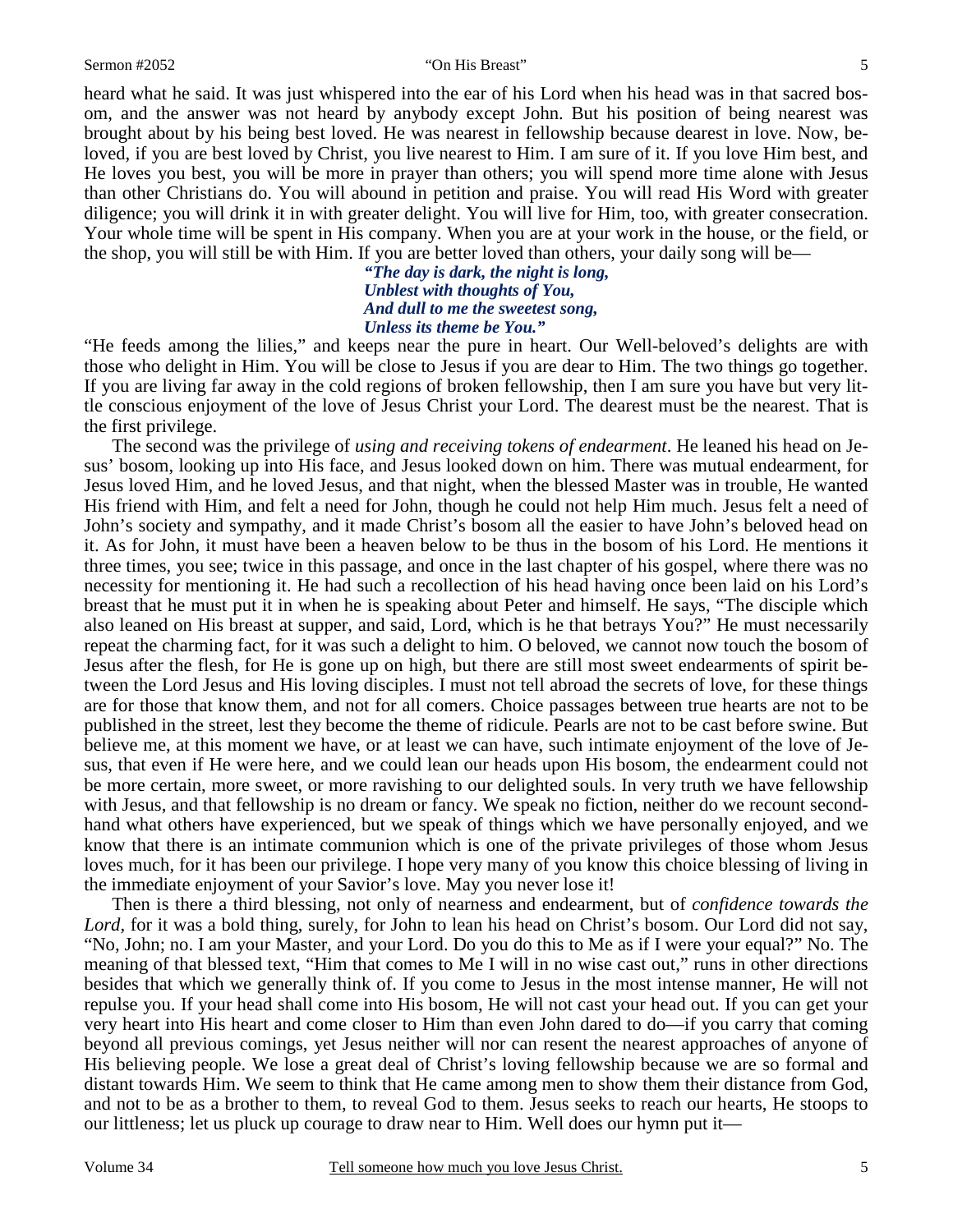#### Sermon #2052 "On His Breast"

heard what he said. It was just whispered into the ear of his Lord when his head was in that sacred bosom, and the answer was not heard by anybody except John. But his position of being nearest was brought about by his being best loved. He was nearest in fellowship because dearest in love. Now, beloved, if you are best loved by Christ, you live nearest to Him. I am sure of it. If you love Him best, and He loves you best, you will be more in prayer than others; you will spend more time alone with Jesus than other Christians do. You will abound in petition and praise. You will read His Word with greater diligence; you will drink it in with greater delight. You will live for Him, too, with greater consecration. Your whole time will be spent in His company. When you are at your work in the house, or the field, or the shop, you will still be with Him. If you are better loved than others, your daily song will be—

> *"The day is dark, the night is long, Unblest with thoughts of You, And dull to me the sweetest song, Unless its theme be You."*

"He feeds among the lilies," and keeps near the pure in heart. Our Well-beloved's delights are with those who delight in Him. You will be close to Jesus if you are dear to Him. The two things go together. If you are living far away in the cold regions of broken fellowship, then I am sure you have but very little conscious enjoyment of the love of Jesus Christ your Lord. The dearest must be the nearest. That is the first privilege.

The second was the privilege of *using and receiving tokens of endearment*. He leaned his head on Jesus' bosom, looking up into His face, and Jesus looked down on him. There was mutual endearment, for Jesus loved Him, and he loved Jesus, and that night, when the blessed Master was in trouble, He wanted His friend with Him, and felt a need for John, though he could not help Him much. Jesus felt a need of John's society and sympathy, and it made Christ's bosom all the easier to have John's beloved head on it. As for John, it must have been a heaven below to be thus in the bosom of his Lord. He mentions it three times, you see; twice in this passage, and once in the last chapter of his gospel, where there was no necessity for mentioning it. He had such a recollection of his head having once been laid on his Lord's breast that he must put it in when he is speaking about Peter and himself. He says, "The disciple which also leaned on His breast at supper, and said, Lord, which is he that betrays You?" He must necessarily repeat the charming fact, for it was such a delight to him. O beloved, we cannot now touch the bosom of Jesus after the flesh, for He is gone up on high, but there are still most sweet endearments of spirit between the Lord Jesus and His loving disciples. I must not tell abroad the secrets of love, for these things are for those that know them, and not for all comers. Choice passages between true hearts are not to be published in the street, lest they become the theme of ridicule. Pearls are not to be cast before swine. But believe me, at this moment we have, or at least we can have, such intimate enjoyment of the love of Jesus, that even if He were here, and we could lean our heads upon His bosom, the endearment could not be more certain, more sweet, or more ravishing to our delighted souls. In very truth we have fellowship with Jesus, and that fellowship is no dream or fancy. We speak no fiction, neither do we recount secondhand what others have experienced, but we speak of things which we have personally enjoyed, and we know that there is an intimate communion which is one of the private privileges of those whom Jesus loves much, for it has been our privilege. I hope very many of you know this choice blessing of living in the immediate enjoyment of your Savior's love. May you never lose it!

Then is there a third blessing, not only of nearness and endearment, but of *confidence towards the*  Lord, for it was a bold thing, surely, for John to lean his head on Christ's bosom. Our Lord did not say, "No, John; no. I am your Master, and your Lord. Do you do this to Me as if I were your equal?" No. The meaning of that blessed text, "Him that comes to Me I will in no wise cast out," runs in other directions besides that which we generally think of. If you come to Jesus in the most intense manner, He will not repulse you. If your head shall come into His bosom, He will not cast your head out. If you can get your very heart into His heart and come closer to Him than even John dared to do—if you carry that coming beyond all previous comings, yet Jesus neither will nor can resent the nearest approaches of anyone of His believing people. We lose a great deal of Christ's loving fellowship because we are so formal and distant towards Him. We seem to think that He came among men to show them their distance from God, and not to be as a brother to them, to reveal God to them. Jesus seeks to reach our hearts, He stoops to our littleness; let us pluck up courage to draw near to Him. Well does our hymn put it—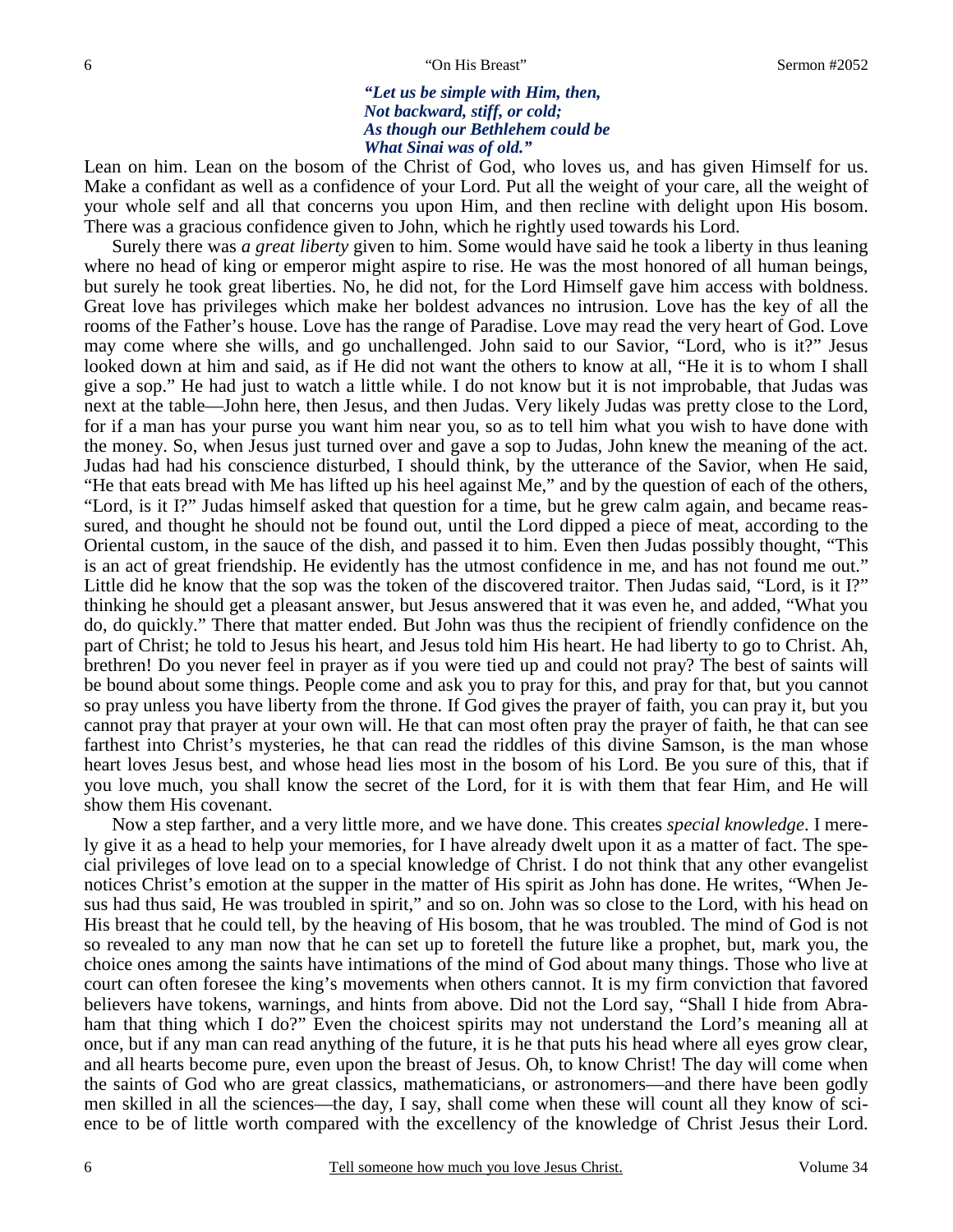### *"Let us be simple with Him, then, Not backward, stiff, or cold; As though our Bethlehem could be What Sinai was of old."*

Lean on him. Lean on the bosom of the Christ of God, who loves us, and has given Himself for us. Make a confidant as well as a confidence of your Lord. Put all the weight of your care, all the weight of your whole self and all that concerns you upon Him, and then recline with delight upon His bosom. There was a gracious confidence given to John, which he rightly used towards his Lord.

 Surely there was *a great liberty* given to him. Some would have said he took a liberty in thus leaning where no head of king or emperor might aspire to rise. He was the most honored of all human beings, but surely he took great liberties. No, he did not, for the Lord Himself gave him access with boldness. Great love has privileges which make her boldest advances no intrusion. Love has the key of all the rooms of the Father's house. Love has the range of Paradise. Love may read the very heart of God. Love may come where she wills, and go unchallenged. John said to our Savior, "Lord, who is it?" Jesus looked down at him and said, as if He did not want the others to know at all, "He it is to whom I shall give a sop." He had just to watch a little while. I do not know but it is not improbable, that Judas was next at the table—John here, then Jesus, and then Judas. Very likely Judas was pretty close to the Lord, for if a man has your purse you want him near you, so as to tell him what you wish to have done with the money. So, when Jesus just turned over and gave a sop to Judas, John knew the meaning of the act. Judas had had his conscience disturbed, I should think, by the utterance of the Savior, when He said, "He that eats bread with Me has lifted up his heel against Me," and by the question of each of the others, "Lord, is it I?" Judas himself asked that question for a time, but he grew calm again, and became reassured, and thought he should not be found out, until the Lord dipped a piece of meat, according to the Oriental custom, in the sauce of the dish, and passed it to him. Even then Judas possibly thought, "This is an act of great friendship. He evidently has the utmost confidence in me, and has not found me out." Little did he know that the sop was the token of the discovered traitor. Then Judas said, "Lord, is it I?" thinking he should get a pleasant answer, but Jesus answered that it was even he, and added, "What you do, do quickly." There that matter ended. But John was thus the recipient of friendly confidence on the part of Christ; he told to Jesus his heart, and Jesus told him His heart. He had liberty to go to Christ. Ah, brethren! Do you never feel in prayer as if you were tied up and could not pray? The best of saints will be bound about some things. People come and ask you to pray for this, and pray for that, but you cannot so pray unless you have liberty from the throne. If God gives the prayer of faith, you can pray it, but you cannot pray that prayer at your own will. He that can most often pray the prayer of faith, he that can see farthest into Christ's mysteries, he that can read the riddles of this divine Samson, is the man whose heart loves Jesus best, and whose head lies most in the bosom of his Lord. Be you sure of this, that if you love much, you shall know the secret of the Lord, for it is with them that fear Him, and He will show them His covenant.

Now a step farther, and a very little more, and we have done. This creates *special knowledge*. I merely give it as a head to help your memories, for I have already dwelt upon it as a matter of fact. The special privileges of love lead on to a special knowledge of Christ. I do not think that any other evangelist notices Christ's emotion at the supper in the matter of His spirit as John has done. He writes, "When Jesus had thus said, He was troubled in spirit," and so on. John was so close to the Lord, with his head on His breast that he could tell, by the heaving of His bosom, that he was troubled. The mind of God is not so revealed to any man now that he can set up to foretell the future like a prophet, but, mark you, the choice ones among the saints have intimations of the mind of God about many things. Those who live at court can often foresee the king's movements when others cannot. It is my firm conviction that favored believers have tokens, warnings, and hints from above. Did not the Lord say, "Shall I hide from Abraham that thing which I do?" Even the choicest spirits may not understand the Lord's meaning all at once, but if any man can read anything of the future, it is he that puts his head where all eyes grow clear, and all hearts become pure, even upon the breast of Jesus. Oh, to know Christ! The day will come when the saints of God who are great classics, mathematicians, or astronomers—and there have been godly men skilled in all the sciences—the day, I say, shall come when these will count all they know of science to be of little worth compared with the excellency of the knowledge of Christ Jesus their Lord.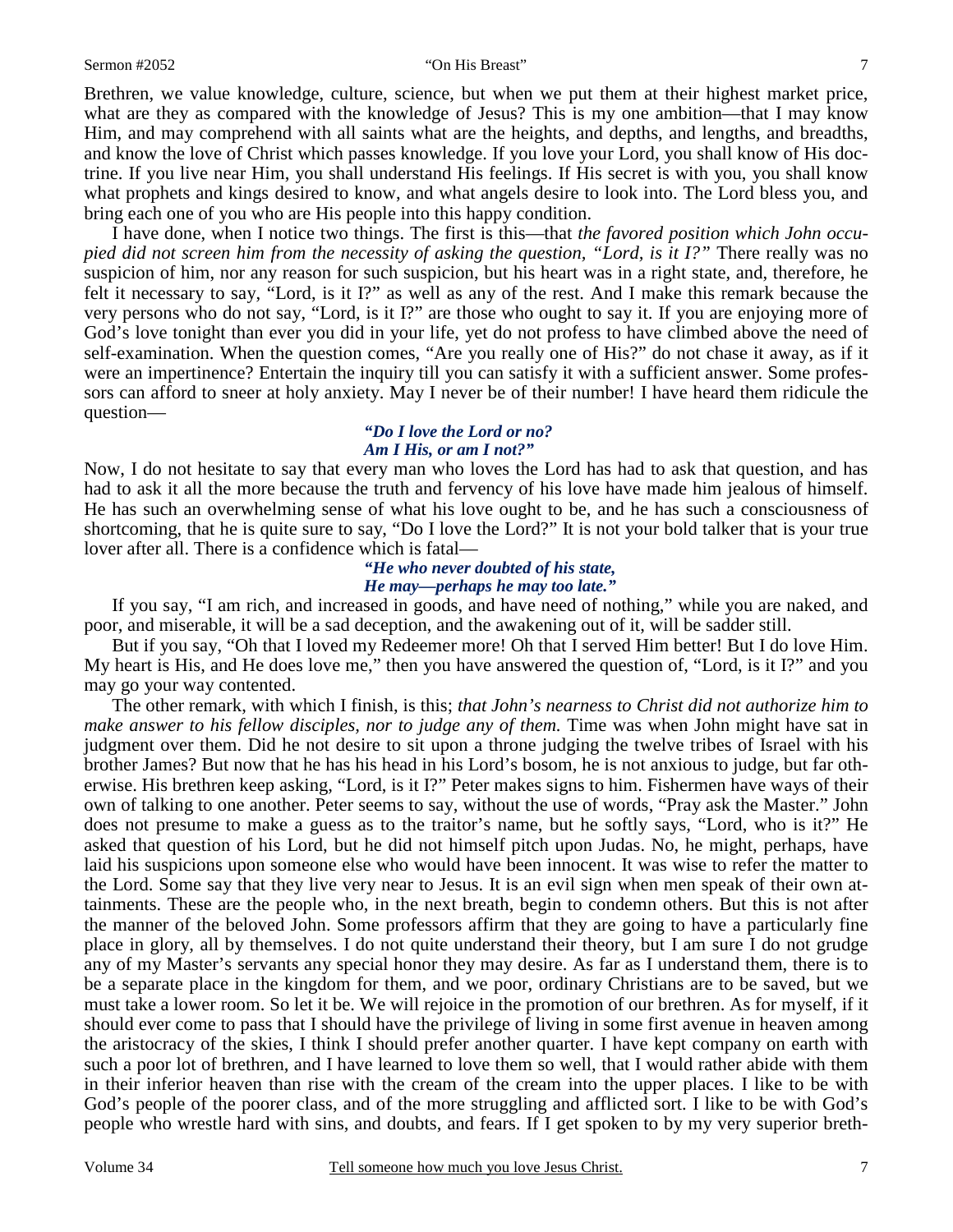#### Sermon #2052 "On His Breast"

Brethren, we value knowledge, culture, science, but when we put them at their highest market price, what are they as compared with the knowledge of Jesus? This is my one ambition—that I may know Him, and may comprehend with all saints what are the heights, and depths, and lengths, and breadths, and know the love of Christ which passes knowledge. If you love your Lord, you shall know of His doctrine. If you live near Him, you shall understand His feelings. If His secret is with you, you shall know what prophets and kings desired to know, and what angels desire to look into. The Lord bless you, and bring each one of you who are His people into this happy condition.

I have done, when I notice two things. The first is this—that *the favored position which John occupied did not screen him from the necessity of asking the question, "Lord, is it I?"* There really was no suspicion of him, nor any reason for such suspicion, but his heart was in a right state, and, therefore, he felt it necessary to say, "Lord, is it I?" as well as any of the rest. And I make this remark because the very persons who do not say, "Lord, is it I?" are those who ought to say it. If you are enjoying more of God's love tonight than ever you did in your life, yet do not profess to have climbed above the need of self-examination. When the question comes, "Are you really one of His?" do not chase it away, as if it were an impertinence? Entertain the inquiry till you can satisfy it with a sufficient answer. Some professors can afford to sneer at holy anxiety. May I never be of their number! I have heard them ridicule the question—

#### *"Do I love the Lord or no? Am I His, or am I not?"*

Now, I do not hesitate to say that every man who loves the Lord has had to ask that question, and has had to ask it all the more because the truth and fervency of his love have made him jealous of himself. He has such an overwhelming sense of what his love ought to be, and he has such a consciousness of shortcoming, that he is quite sure to say, "Do I love the Lord?" It is not your bold talker that is your true lover after all. There is a confidence which is fatal—

### *"He who never doubted of his state, He may—perhaps he may too late."*

If you say, "I am rich, and increased in goods, and have need of nothing," while you are naked, and poor, and miserable, it will be a sad deception, and the awakening out of it, will be sadder still.

But if you say, "Oh that I loved my Redeemer more! Oh that I served Him better! But I do love Him. My heart is His, and He does love me," then you have answered the question of, "Lord, is it I?" and you may go your way contented.

The other remark, with which I finish, is this; *that John's nearness to Christ did not authorize him to make answer to his fellow disciples, nor to judge any of them.* Time was when John might have sat in judgment over them. Did he not desire to sit upon a throne judging the twelve tribes of Israel with his brother James? But now that he has his head in his Lord's bosom, he is not anxious to judge, but far otherwise. His brethren keep asking, "Lord, is it I?" Peter makes signs to him. Fishermen have ways of their own of talking to one another. Peter seems to say, without the use of words, "Pray ask the Master." John does not presume to make a guess as to the traitor's name, but he softly says, "Lord, who is it?" He asked that question of his Lord, but he did not himself pitch upon Judas. No, he might, perhaps, have laid his suspicions upon someone else who would have been innocent. It was wise to refer the matter to the Lord. Some say that they live very near to Jesus. It is an evil sign when men speak of their own attainments. These are the people who, in the next breath, begin to condemn others. But this is not after the manner of the beloved John. Some professors affirm that they are going to have a particularly fine place in glory, all by themselves. I do not quite understand their theory, but I am sure I do not grudge any of my Master's servants any special honor they may desire. As far as I understand them, there is to be a separate place in the kingdom for them, and we poor, ordinary Christians are to be saved, but we must take a lower room. So let it be. We will rejoice in the promotion of our brethren. As for myself, if it should ever come to pass that I should have the privilege of living in some first avenue in heaven among the aristocracy of the skies, I think I should prefer another quarter. I have kept company on earth with such a poor lot of brethren, and I have learned to love them so well, that I would rather abide with them in their inferior heaven than rise with the cream of the cream into the upper places. I like to be with God's people of the poorer class, and of the more struggling and afflicted sort. I like to be with God's people who wrestle hard with sins, and doubts, and fears. If I get spoken to by my very superior breth